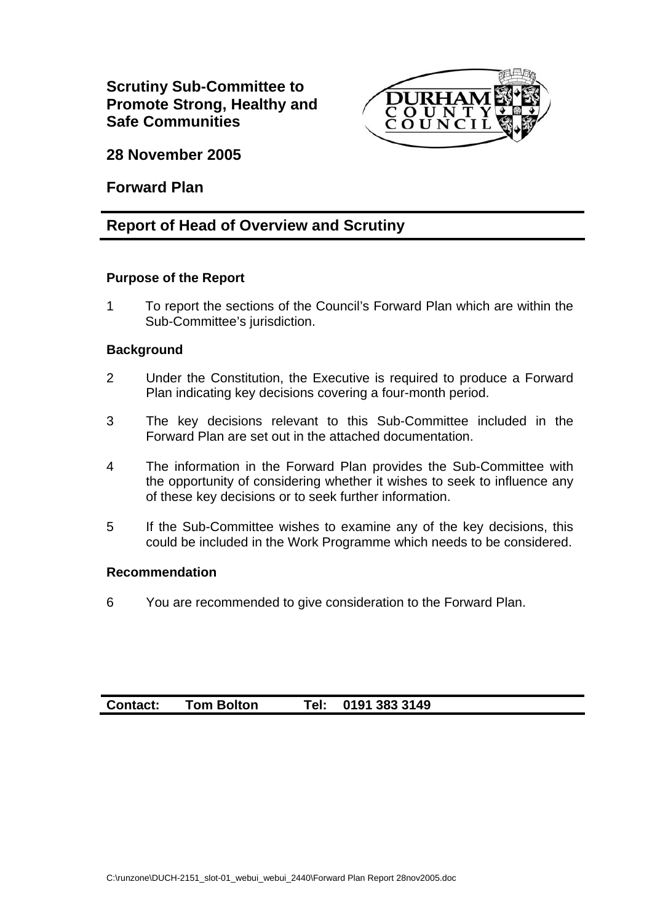

**28 November 2005** 

**Forward Plan** 

# **Report of Head of Overview and Scrutiny**

## **Purpose of the Report**

1 To report the sections of the Council's Forward Plan which are within the Sub-Committee's jurisdiction.

## **Background**

- 2 Under the Constitution, the Executive is required to produce a Forward Plan indicating key decisions covering a four-month period.
- 3 The key decisions relevant to this Sub-Committee included in the Forward Plan are set out in the attached documentation.
- 4 The information in the Forward Plan provides the Sub-Committee with the opportunity of considering whether it wishes to seek to influence any of these key decisions or to seek further information.
- 5 If the Sub-Committee wishes to examine any of the key decisions, this could be included in the Work Programme which needs to be considered.

#### **Recommendation**

6 You are recommended to give consideration to the Forward Plan.

# **Contact: Tom Bolton Tel: 0191 383 3149**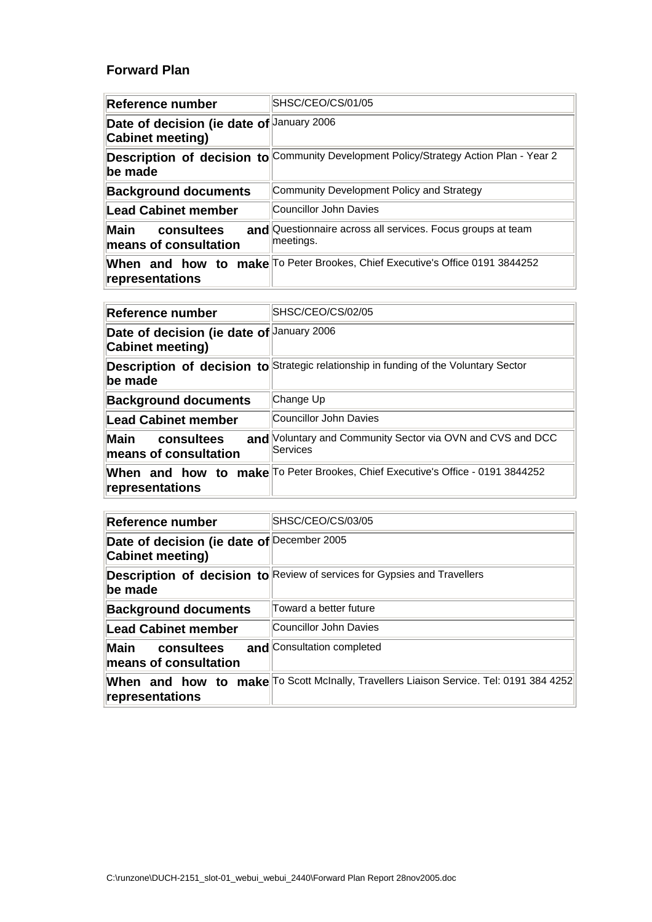#### **Forward Plan**

| Reference number                                              | SHSC/CEO/CS/01/05                                                                     |
|---------------------------------------------------------------|---------------------------------------------------------------------------------------|
| Date of decision (ie date of January 2006<br>Cabinet meeting) |                                                                                       |
| lbe made                                                      | Description of decision to Community Development Policy/Strategy Action Plan - Year 2 |
| <b>Background documents</b>                                   | Community Development Policy and Strategy                                             |
| Lead Cabinet member                                           | Councillor John Davies                                                                |
| <b>Main</b><br>consultees<br>means of consultation            | and Questionnaire across all services. Focus groups at team<br>meetings.              |
| representations                                               | When and how to make To Peter Brookes, Chief Executive's Office 0191 3844252          |

| Reference number                                                     | SHSC/CEO/CS/02/05                                                                    |
|----------------------------------------------------------------------|--------------------------------------------------------------------------------------|
| Date of decision (ie date of January 2006<br><b>Cabinet meeting)</b> |                                                                                      |
| lbe made                                                             | Description of decision to Strategic relationship in funding of the Voluntary Sector |
| <b>Background documents</b>                                          | Change Up                                                                            |
| <b>Lead Cabinet member</b>                                           | Councillor John Davies                                                               |
| <b>Main</b><br>consultees<br>means of consultation                   | and Voluntary and Community Sector via OVN and CVS and DCC<br>Services               |
| representations                                                      | When and how to make To Peter Brookes, Chief Executive's Office - 0191 3844252       |

| Reference number                                               | SHSC/CEO/CS/03/05                                                                      |
|----------------------------------------------------------------|----------------------------------------------------------------------------------------|
| Date of decision (ie date of December 2005<br>Cabinet meeting) |                                                                                        |
| be made                                                        | <b>Description of decision to Review of services for Gypsies and Travellers</b>        |
| <b>Background documents</b>                                    | Toward a better future                                                                 |
| Lead Cabinet member                                            | Councillor John Davies                                                                 |
| Main<br>consultees<br>means of consultation                    | and Consultation completed                                                             |
| representations                                                | When and how to make To Scott McInally, Travellers Liaison Service. Tel: 0191 384 4252 |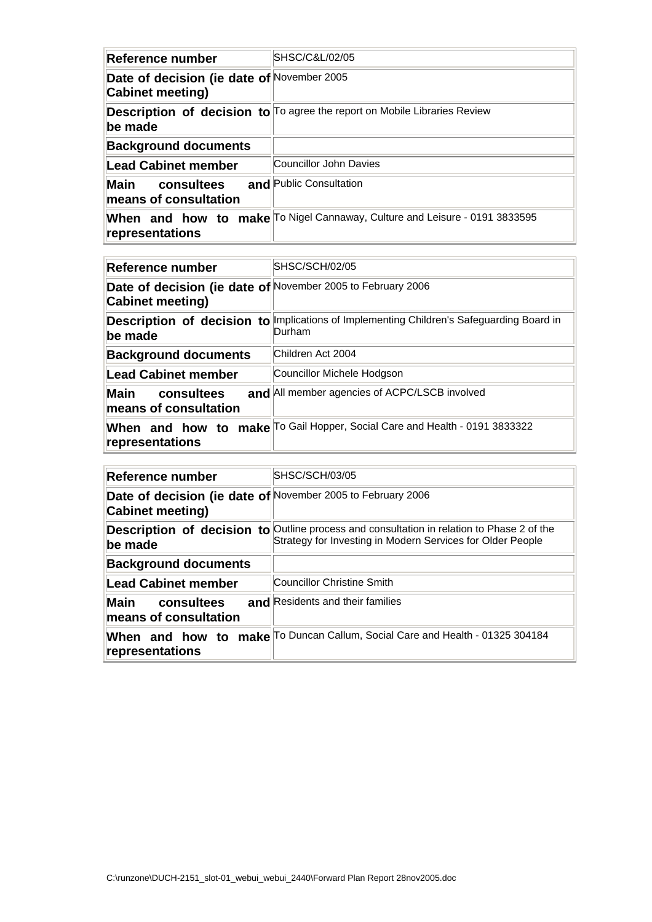| Reference number                                                      | SHSC/C&L/02/05                                                             |
|-----------------------------------------------------------------------|----------------------------------------------------------------------------|
| Date of decision (ie date of November 2005<br><b>Cabinet meeting)</b> |                                                                            |
| be made                                                               | Description of decision to To agree the report on Mobile Libraries Review  |
| <b>Background documents</b>                                           |                                                                            |
| Lead Cabinet member                                                   | Councillor John Davies                                                     |
| <b>Main</b><br>consultees<br>means of consultation                    | and Public Consultation                                                    |
| representations                                                       | When and how to make To Nigel Cannaway, Culture and Leisure - 0191 3833595 |

| Reference number                                                                | SHSC/SCH/02/05                                                          |
|---------------------------------------------------------------------------------|-------------------------------------------------------------------------|
| Date of decision (ie date of November 2005 to February 2006<br>Cabinet meeting) |                                                                         |
| Description of decision to<br>be made                                           | Implications of Implementing Children's Safeguarding Board in<br>Durham |
| <b>Background documents</b>                                                     | Children Act 2004                                                       |
| Lead Cabinet member                                                             | Councillor Michele Hodgson                                              |
| Main<br>consultees<br>means of consultation                                     | and All member agencies of ACPC/LSCB involved                           |
| When and how to<br>representations                                              | make To Gail Hopper, Social Care and Health - 0191 3833322              |

| <b>∣Reference number</b>                                                        | SHSC/SCH/03/05                                                                                                                                                 |
|---------------------------------------------------------------------------------|----------------------------------------------------------------------------------------------------------------------------------------------------------------|
| Date of decision (ie date of November 2005 to February 2006<br>Cabinet meeting) |                                                                                                                                                                |
| ∥be made                                                                        | <b>Description of decision to</b> Outline process and consultation in relation to Phase 2 of the<br>Strategy for Investing in Modern Services for Older People |
| <b>Background documents</b>                                                     |                                                                                                                                                                |
| ∥Lead Cabinet member                                                            | Councillor Christine Smith                                                                                                                                     |
| Main<br>consultees<br>$\,$ means of consultation $\,$                           | and Residents and their families                                                                                                                               |
| $\blacksquare$ representations                                                  | When and how to make To Duncan Callum, Social Care and Health - 01325 304184                                                                                   |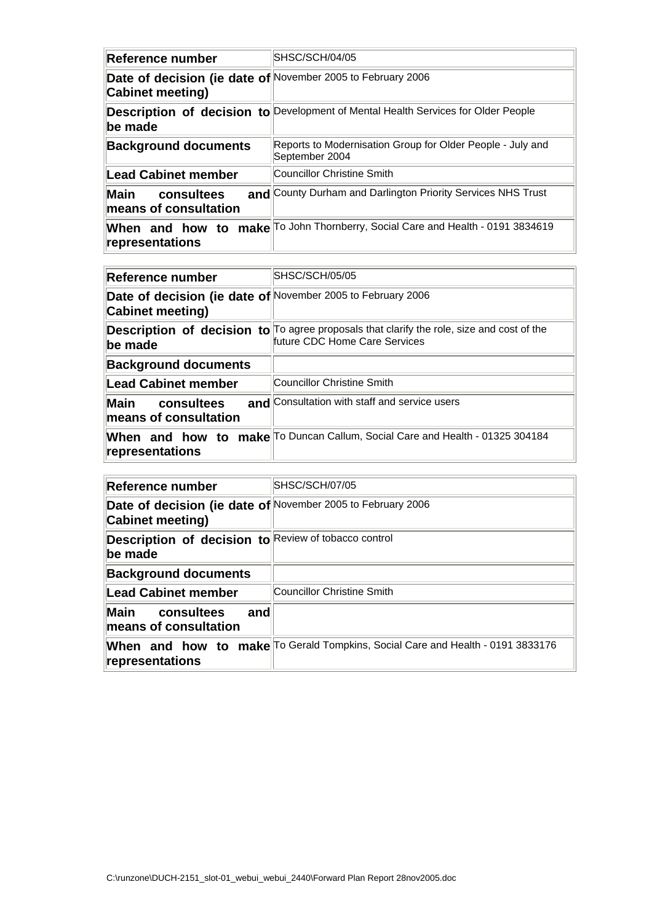| Reference number                                                                | SHSC/SCH/04/05                                                                    |
|---------------------------------------------------------------------------------|-----------------------------------------------------------------------------------|
| Date of decision (ie date of November 2005 to February 2006<br>Cabinet meeting) |                                                                                   |
| be made                                                                         | Description of decision to Development of Mental Health Services for Older People |
| <b>Background documents</b>                                                     | Reports to Modernisation Group for Older People - July and<br>September 2004      |
| Lead Cabinet member                                                             | Councillor Christine Smith                                                        |
| Main<br>consultees<br>means of consultation                                     | and County Durham and Darlington Priority Services NHS Trust                      |
| representations                                                                 | When and how to make To John Thornberry, Social Care and Health - 0191 3834619    |

| Reference number                                                                | SHSC/SCH/05/05                                                                                                                    |
|---------------------------------------------------------------------------------|-----------------------------------------------------------------------------------------------------------------------------------|
| Date of decision (ie date of November 2005 to February 2006<br>Cabinet meeting) |                                                                                                                                   |
| be made                                                                         | <b>Description of decision to</b> To agree proposals that clarify the role, size and cost of the<br>future CDC Home Care Services |
| <b>Background documents</b>                                                     |                                                                                                                                   |
| Lead Cabinet member                                                             | Councillor Christine Smith                                                                                                        |
| Main<br>consultees<br>means of consultation                                     | and Consultation with staff and service users                                                                                     |
| When and how to<br>representations                                              | make To Duncan Callum, Social Care and Health - 01325 304184                                                                      |

| Reference number                                                                       | <b>SHSC/SCH/07/05</b>                                                                 |
|----------------------------------------------------------------------------------------|---------------------------------------------------------------------------------------|
| Date of decision (ie date of November 2005 to February 2006<br><b>Cabinet meeting)</b> |                                                                                       |
| Description of decision to Review of tobacco control<br>lbe made                       |                                                                                       |
| <b>Background documents</b>                                                            |                                                                                       |
| <b>Lead Cabinet member</b>                                                             | Councillor Christine Smith                                                            |
| Main<br>consultees<br>and<br>means of consultation                                     |                                                                                       |
| representations                                                                        | <b>When and how to make</b> To Gerald Tompkins, Social Care and Health - 0191 3833176 |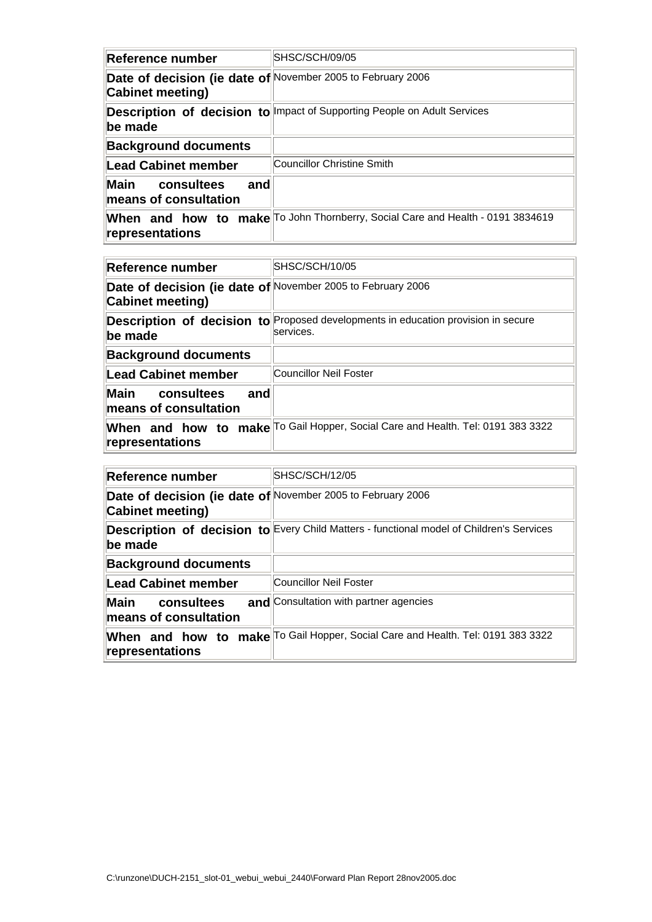| Reference number                                                                | SHSC/SCH/09/05                                                                 |
|---------------------------------------------------------------------------------|--------------------------------------------------------------------------------|
| Date of decision (ie date of November 2005 to February 2006<br>Cabinet meeting) |                                                                                |
| be made                                                                         | Description of decision to Impact of Supporting People on Adult Services       |
| <b>Background documents</b>                                                     |                                                                                |
| <b>Lead Cabinet member</b>                                                      | Councillor Christine Smith                                                     |
| Main<br>consultees<br>and<br>means of consultation                              |                                                                                |
| representations                                                                 | When and how to make To John Thornberry, Social Care and Health - 0191 3834619 |

| Reference number                                                                | SHSC/SCH/10/05                                                                                 |
|---------------------------------------------------------------------------------|------------------------------------------------------------------------------------------------|
| Date of decision (ie date of November 2005 to February 2006<br>Cabinet meeting) |                                                                                                |
| ∥be made                                                                        | Description of decision to Proposed developments in education provision in secure<br>services. |
| <b>Background documents</b>                                                     |                                                                                                |
| ∥Lead Cabinet member                                                            | Councillor Neil Foster                                                                         |
| lMain<br>consultees<br>and<br>means of consultation                             |                                                                                                |
| representations                                                                 | When and how to make To Gail Hopper, Social Care and Health. Tel: 0191 383 3322                |

| Reference number                                                                | SHSC/SCH/12/05                                                                           |
|---------------------------------------------------------------------------------|------------------------------------------------------------------------------------------|
| Date of decision (ie date of November 2005 to February 2006<br>Cabinet meeting) |                                                                                          |
| be made                                                                         | Description of decision to Every Child Matters - functional model of Children's Services |
| <b>Background documents</b>                                                     |                                                                                          |
| <b>Lead Cabinet member</b>                                                      | Councillor Neil Foster                                                                   |
| <b>Main</b><br>consultees<br>means of consultation                              | and Consultation with partner agencies                                                   |
| representations                                                                 | When and how to make To Gail Hopper, Social Care and Health. Tel: 0191 383 3322          |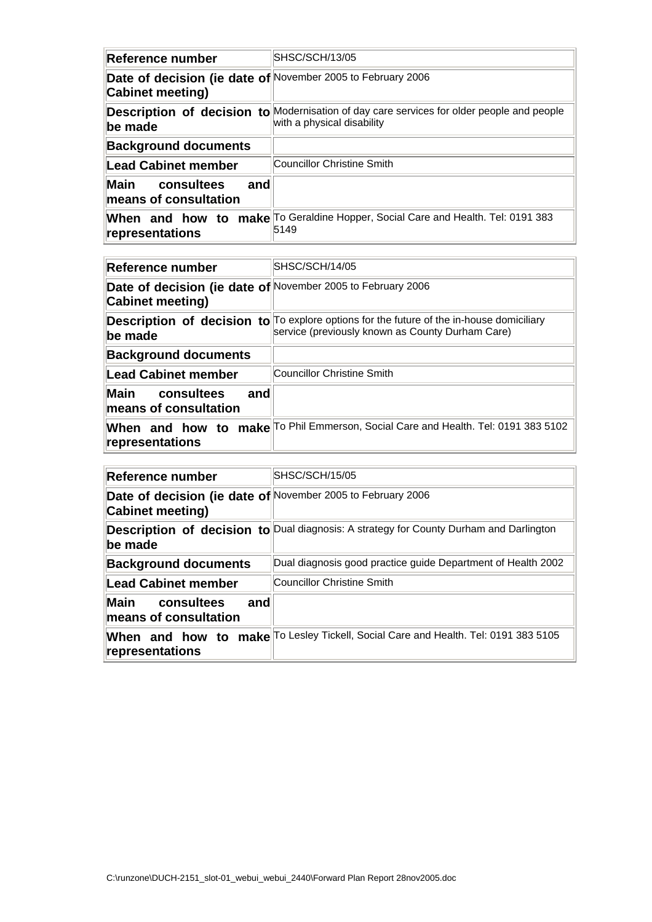| Reference number                                                                | SHSC/SCH/13/05                                                                                                          |
|---------------------------------------------------------------------------------|-------------------------------------------------------------------------------------------------------------------------|
| Date of decision (ie date of November 2005 to February 2006<br>Cabinet meeting) |                                                                                                                         |
| be made                                                                         | Description of decision to Modernisation of day care services for older people and people<br>with a physical disability |
| <b>Background documents</b>                                                     |                                                                                                                         |
| Lead Cabinet member                                                             | Councillor Christine Smith                                                                                              |
| <b>Main</b><br>consultees<br>and<br>means of consultation                       |                                                                                                                         |
| When and how to<br>representations                                              | make To Geraldine Hopper, Social Care and Health. Tel: 0191 383<br>5149                                                 |

| Reference number                                                                | SHSC/SCH/14/05                                                                                                                                      |
|---------------------------------------------------------------------------------|-----------------------------------------------------------------------------------------------------------------------------------------------------|
| Date of decision (ie date of November 2005 to February 2006<br>Cabinet meeting) |                                                                                                                                                     |
| be made                                                                         | <b>Description of decision to</b> To explore options for the future of the in-house domiciliary<br>service (previously known as County Durham Care) |
| <b>Background documents</b>                                                     |                                                                                                                                                     |
| Lead Cabinet member                                                             | Councillor Christine Smith                                                                                                                          |
| Main<br>consultees<br>and<br>means of consultation                              |                                                                                                                                                     |
| representations                                                                 | When and how to make To Phil Emmerson, Social Care and Health. Tel: 0191 383 5102                                                                   |

| <b>∣Reference number</b>                                                        | SHSC/SCH/15/05                                                                         |
|---------------------------------------------------------------------------------|----------------------------------------------------------------------------------------|
| Date of decision (ie date of November 2005 to February 2006<br>Cabinet meeting) |                                                                                        |
| lbe made                                                                        | Description of decision to Dual diagnosis: A strategy for County Durham and Darlington |
| <b>Background documents</b>                                                     | Dual diagnosis good practice guide Department of Health 2002                           |
| ∥Lead Cabinet member                                                            | Councillor Christine Smith                                                             |
| Main<br>and<br>consultees<br>means of consultation                              |                                                                                        |
| representations                                                                 | When and how to make To Lesley Tickell, Social Care and Health. Tel: 0191 383 5105     |